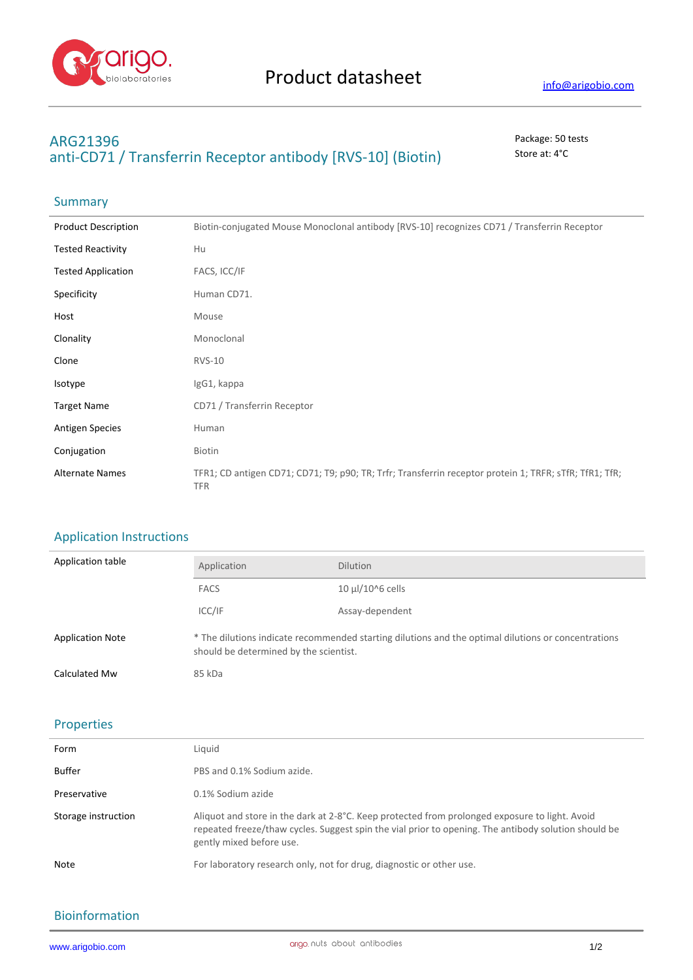

# **ARG21396** Package: 50 tests anti-CD71 / Transferrin Receptor antibody [RVS-10] (Biotin) Store at: 4°C

## Summary

| <b>Product Description</b> | Biotin-conjugated Mouse Monoclonal antibody [RVS-10] recognizes CD71 / Transferrin Receptor                          |
|----------------------------|----------------------------------------------------------------------------------------------------------------------|
| <b>Tested Reactivity</b>   | Hu                                                                                                                   |
| <b>Tested Application</b>  | FACS, ICC/IF                                                                                                         |
| Specificity                | Human CD71.                                                                                                          |
| Host                       | Mouse                                                                                                                |
| Clonality                  | Monoclonal                                                                                                           |
| Clone                      | <b>RVS-10</b>                                                                                                        |
| Isotype                    | IgG1, kappa                                                                                                          |
| <b>Target Name</b>         | CD71 / Transferrin Receptor                                                                                          |
| <b>Antigen Species</b>     | Human                                                                                                                |
| Conjugation                | Biotin                                                                                                               |
| <b>Alternate Names</b>     | TFR1; CD antigen CD71; CD71; T9; p90; TR; Trfr; Transferrin receptor protein 1; TRFR; sTfR; TfR1; TfR;<br><b>TFR</b> |

### Application Instructions

| Application table       | Application                                                                                                                                   | <b>Dilution</b>       |
|-------------------------|-----------------------------------------------------------------------------------------------------------------------------------------------|-----------------------|
|                         | <b>FACS</b>                                                                                                                                   | $10 \mu$ l/10^6 cells |
|                         | ICC/IF                                                                                                                                        | Assay-dependent       |
| <b>Application Note</b> | * The dilutions indicate recommended starting dilutions and the optimal dilutions or concentrations<br>should be determined by the scientist. |                       |
| Calculated Mw           | 85 kDa                                                                                                                                        |                       |

#### Properties

| Form                | Liguid                                                                                                                                                                                                                             |
|---------------------|------------------------------------------------------------------------------------------------------------------------------------------------------------------------------------------------------------------------------------|
| Buffer              | PBS and 0.1% Sodium azide.                                                                                                                                                                                                         |
| Preservative        | 0.1% Sodium azide                                                                                                                                                                                                                  |
| Storage instruction | Aliquot and store in the dark at 2-8°C. Keep protected from prolonged exposure to light. Avoid<br>repeated freeze/thaw cycles. Suggest spin the vial prior to opening. The antibody solution should be<br>gently mixed before use. |
| Note                | For laboratory research only, not for drug, diagnostic or other use.                                                                                                                                                               |

#### Bioinformation